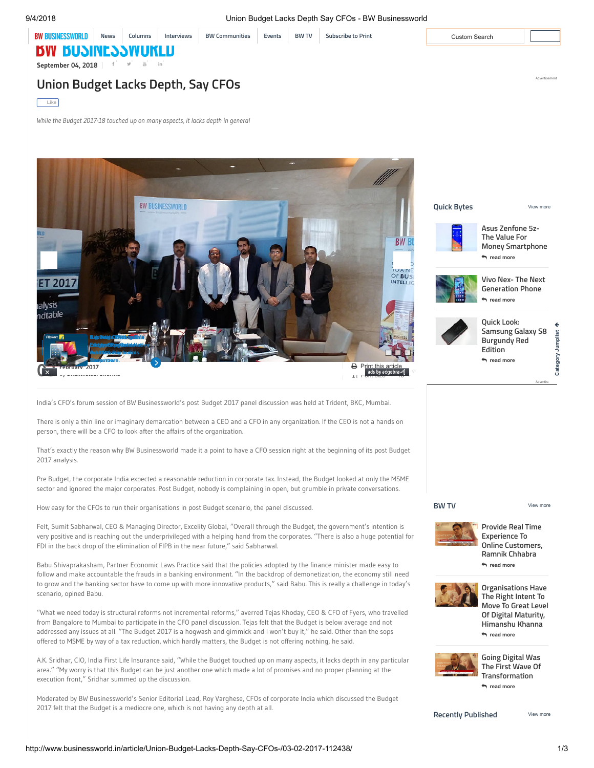**BW BUSINESSWORLD** 

### 9/4/2018 Union Budget Lacks Depth Say CFOs - BW Businessworld

**[News](http://www.businessworld.in/business-news/) [Columns](http://www.businessworld.in/columns/) [Interviews](http://www.businessworld.in/all-interviews/) BW [Communities](http://www.businessworld.in/bw-communities/) [Events](http://www.businessworld.in/bw-event/) [BW](http://www.businessworld.in/all-videos/) TV [Subscribe](http://subscribe.businessworld.in/) to Print** Custom Search

Advertisement

# **Union Budget Lacks Depth, Say CFOs**

**[September 04, 2018](http://www.businessworld.in/date/04-September-2018)**

**BW BUSINESSWUK** 

**Like**

*While the Budget 2017-18 touched up on many aspects, it lacks depth in general*

**BW BUSINESSWORLD BW B UAN** OF BUS  $20$ **alvsis** ndtable **Big Diais Continued This Adventise With India<br>Etissus ERegionise Lative Excition Control Control Friday. Expedience Elixiapo Elkas Chrittie att decarbig on Big by Donaldi**zed s. **Ad Platform. Best Price Brigo Unabia**ds **Shop own power Know moure. 03 Print this article [February, 2017](http://www.businessworld.in/date/03-February-2017) by [Bhaktvatsal Sharma](http://www.businessworld.in/author/BW-Reporters/Bhaktvatsal-Sharma-83804)**  $F = 16 + 16 + 16 + 16$ 

**Quick Bytes**

[View more](http://businessworld.in/all-quickbytes/)



**Asus Zenfone 5z-The Value For Money [Smartphone](http://www.businessworld.in/quickbytes/Asus-Zenfone-5z-The-Value-For-Money-Smartphone/03-08-2018-359) [read more](http://www.businessworld.in/quickbytes/Asus-Zenfone-5z-The-Value-For-Money-Smartphone/03-08-2018-359)**



**Vivo Nex- The Next [Generation](http://www.businessworld.in/quickbytes/Vivo-Nex-The-Next-Generation-Phone/20-07-2018-358) Phone [read more](http://www.businessworld.in/quickbytes/Vivo-Nex-The-Next-Generation-Phone/20-07-2018-358)** 



**Quick Look: Samsung Galaxy S8 [Burgundy](http://www.businessworld.in/quickbytes/Quick-Look-Samsung-Galaxy-S8-Burgundy-Red-Edition/18-07-2018-357) Red Edition [read more](http://www.businessworld.in/quickbytes/Quick-Look-Samsung-Galaxy-S8-Burgundy-Red-Edition/18-07-2018-357)**

← Category

India's CFO's forum session of BW Businessworld's post Budget 2017 panel discussion was held at Trident, BKC, Mumbai.

There is only a thin line or imaginary demarcation between a CEO and a CFO in any organization. If the CEO is not a hands on person, there will be a CFO to look after the affairs of the organization.

That's exactly the reason why BW Businessworld made it a point to have a CFO session right at the beginning of its post Budget 2017 analysis.

Pre Budget, the corporate India expected a reasonable reduction in corporate tax. Instead, the Budget looked at only the MSME sector and ignored the major corporates. Post Budget, nobody is complaining in open, but grumble in private conversations.

How easy for the CFOs to run their organisations in post Budget scenario, the panel discussed.

Felt, Sumit Sabharwal, CEO & Managing Director, Excelity Global, "Overall through the Budget, the government's intention is very positive and is reaching out the underprivileged with a helping hand from the corporates. "There is also a huge potential for FDI in the back drop of the elimination of FIPB in the near future," said Sabharwal.

Babu Shivaprakasham, Partner Economic Laws Practice said that the policies adopted by the finance minister made easy to follow and make accountable the frauds in a banking environment. "In the backdrop of demonetization, the economy still need to grow and the banking sector have to come up with more innovative products," said Babu. This is really a challenge in today's scenario, opined Babu.

"What we need today is structural reforms not incremental reforms," averred Tejas Khoday, CEO & CFO of Fyers, who travelled from Bangalore to Mumbai to participate in the CFO panel discussion. Tejas felt that the Budget is below average and not addressed any issues at all. "The Budget 2017 is a hogwash and gimmick and I won't buy it," he said. Other than the sops offered to MSME by way of a tax reduction, which hardly matters, the Budget is not offering nothing, he said.

A.K. Sridhar, CIO, India First Life Insurance said, "While the Budget touched up on many aspects, it lacks depth in any particular area." "My worry is that this Budget can be just another one which made a lot of promises and no proper planning at the execution front," Sridhar summed up the discussion.

Moderated by BW Businessworld's Senior Editorial Lead, Roy Varghese, CFOs of corporate India which discussed the Budget 2017 felt that the Budget is a mediocre one, which is not having any depth at all.

**BW TV**

[View more](http://www.businessworld.in/all-videos)



**Provide Real Time Experience To Online [Customers,](http://www.businessworld.in/video/Provide-Real-Time-Experience-To-Online-Customers-Ramnik-Chhabra/04-09-2018-1739) Ramnik Chhabra [read more](http://www.businessworld.in/video/Provide-Real-Time-Experience-To-Online-Customers-Ramnik-Chhabra/04-09-2018-1739)**



**[Organisations](http://www.businessworld.in/video/Organisations-Have-The-Right-Intent-To-Move-To-Great-Level-Of-Digital-Maturity-Himanshu-Khanna/04-09-2018-1738) Have The Right Intent To Move To Great Level Of Digital Maturity, Himanshu Khanna [read more](http://www.businessworld.in/video/Organisations-Have-The-Right-Intent-To-Move-To-Great-Level-Of-Digital-Maturity-Himanshu-Khanna/04-09-2018-1738)**



**Going Digital Was The First Wave Of [Transformation](http://www.businessworld.in/video/Going-Digital-Was-The-First-Wave-Of-Transformation/04-09-2018-1737) [read more](http://www.businessworld.in/video/Going-Digital-Was-The-First-Wave-Of-Transformation/04-09-2018-1737)**

**Recently Published** [View more](http://www.businessworld.in/all-articles)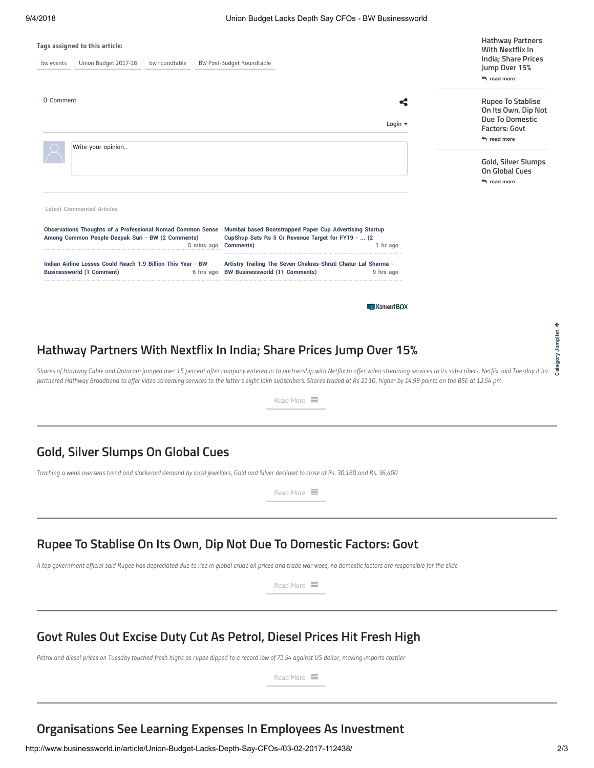| 9/4/2018                                                                                         |                             | Union Budget Lacks Depth Say CFOs - BW Businessworld                                                                                                                                                                                                                                                                                                                                                       |            |                                                                                                                    |
|--------------------------------------------------------------------------------------------------|-----------------------------|------------------------------------------------------------------------------------------------------------------------------------------------------------------------------------------------------------------------------------------------------------------------------------------------------------------------------------------------------------------------------------------------------------|------------|--------------------------------------------------------------------------------------------------------------------|
| Tags assigned to this article:<br>Union Budget 2017-18<br>bw events                              | bw roundtable               | BW Post-Budget Roundtable                                                                                                                                                                                                                                                                                                                                                                                  |            | <b>Hathway Partners</b><br>With Nextflix In<br>India; Share Prices<br>Jump Over 15%<br>$\leftrightarrow$ read more |
| 0 Comment                                                                                        | ≺                           | <b>Rupee To Stablise</b><br>On Its Own, Dip Not<br>Due To Domestic                                                                                                                                                                                                                                                                                                                                         |            |                                                                                                                    |
|                                                                                                  | Login $\blacktriangleright$ | <b>Factors: Govt</b><br>$\leftrightarrow$ read more                                                                                                                                                                                                                                                                                                                                                        |            |                                                                                                                    |
| Write your opinion                                                                               |                             |                                                                                                                                                                                                                                                                                                                                                                                                            |            | Gold, Silver Slumps<br>On Global Cues                                                                              |
|                                                                                                  |                             |                                                                                                                                                                                                                                                                                                                                                                                                            |            | $\leftrightarrow$ read more                                                                                        |
| <b>Latest Commented Articles</b>                                                                 |                             |                                                                                                                                                                                                                                                                                                                                                                                                            |            |                                                                                                                    |
| Among Common People-Deepak Suri - BW (2 Comments)                                                |                             | Observations Thoughts of a Professional Nomad Common Sense Mumbai based Bootstrapped Paper Cup Advertising Startup<br>CupShup Sets Rs 5 Cr Revenue Target for FY19 -  (2<br>5 mins ago <b>Comments</b> )                                                                                                                                                                                                   | 1 hr ago   |                                                                                                                    |
| Indian Airline Losses Could Reach 1.9 Billion This Year - BW<br><b>Businessworld (1 Comment)</b> |                             | Artistry Trailing The Seven Chakras-Shruti Chatur Lal Sharma -<br>6 hrs ago BW Businessworld (11 Comments)                                                                                                                                                                                                                                                                                                 | 9 hrs ago  |                                                                                                                    |
|                                                                                                  |                             |                                                                                                                                                                                                                                                                                                                                                                                                            |            |                                                                                                                    |
|                                                                                                  |                             |                                                                                                                                                                                                                                                                                                                                                                                                            | Koment BOX |                                                                                                                    |
|                                                                                                  |                             | Hathway Partners With Nextflix In India; Share Prices Jump Over 15%                                                                                                                                                                                                                                                                                                                                        |            |                                                                                                                    |
|                                                                                                  |                             | Shares of Hathway Cable and Datacom jumped over 15 percent after company entered in to partnership with Netflix to offer video streaming services to its subscribers. Netflix said Tuesday it ha.<br>partnered Hathway Broadband to offer video streaming services to the latter's eight lakh subscribers. Shares traded at Rs 21.10, higher by 14.99 points on the BSE at 12.54 pm.<br>Read More $\equiv$ |            |                                                                                                                    |
|                                                                                                  |                             |                                                                                                                                                                                                                                                                                                                                                                                                            |            |                                                                                                                    |
| Gold, Silver Slumps On Global Cues                                                               |                             | Traching a weak overseas trend and slackened demand by local jewellers, Gold and Silver declined to close at Rs. 30,160 and Rs. 36,400                                                                                                                                                                                                                                                                     |            |                                                                                                                    |
|                                                                                                  |                             | Read More $\equiv$                                                                                                                                                                                                                                                                                                                                                                                         |            |                                                                                                                    |
|                                                                                                  |                             |                                                                                                                                                                                                                                                                                                                                                                                                            |            |                                                                                                                    |
|                                                                                                  |                             | Rupee To Stablise On Its Own, Dip Not Due To Domestic Factors: Govt<br>A top government official said Rupee has depreciated due to rise in global crude oil prices and trade war woes, no domestic factors are responsible for the slide                                                                                                                                                                   |            |                                                                                                                    |
|                                                                                                  |                             | Read More $\equiv$                                                                                                                                                                                                                                                                                                                                                                                         |            |                                                                                                                    |
|                                                                                                  |                             |                                                                                                                                                                                                                                                                                                                                                                                                            |            |                                                                                                                    |
|                                                                                                  |                             | Govt Rules Out Excise Duty Cut As Petrol, Diesel Prices Hit Fresh High<br>Petrol and diesel prices on Tuesday touched fresh highs as rupee dipped to a record low of 71.54 against US dollar, making imports costlier                                                                                                                                                                                      |            |                                                                                                                    |

**Organisations See Learning Expenses In Employees As Investment**

**Category Jumplist**